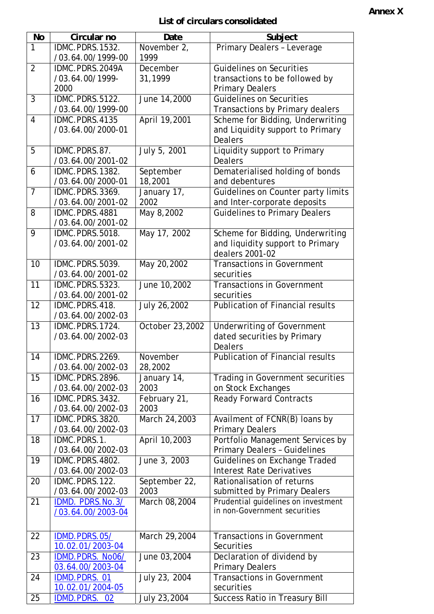## **List of circulars consolidated**

| <b>No</b>       | Circular no         | Date            | Subject                                 |
|-----------------|---------------------|-----------------|-----------------------------------------|
| $\overline{1}$  | IDMC.PDRS.1532.     | November 2,     | Primary Dealers - Leverage              |
|                 | /03.64.00/1999-00   | 1999            |                                         |
| $\overline{2}$  | IDMC.PDRS.2049A     | December        | <b>Guidelines on Securities</b>         |
|                 | /03.64.00/1999-     | 31,1999         | transactions to be followed by          |
|                 | 2000                |                 | <b>Primary Dealers</b>                  |
| $\overline{3}$  | IDMC.PDRS.5122.     | June 14,2000    | <b>Guidelines on Securities</b>         |
|                 | /03.64.00/1999-00   |                 | Transactions by Primary dealers         |
| $\overline{4}$  | IDMC.PDRS.4135      | April 19,2001   | Scheme for Bidding, Underwriting        |
|                 | /03.64.00/2000-01   |                 | and Liquidity support to Primary        |
|                 |                     |                 | <b>Dealers</b>                          |
| 5               | IDMC.PDRS.87.       | July 5, 2001    | Liquidity support to Primary            |
|                 | /03.64.00/2001-02   |                 | <b>Dealers</b>                          |
| 6               | IDMC.PDRS.1382.     | September       | Dematerialised holding of bonds         |
|                 | /03.64.00/2000-01   | 18,2001         | and debentures                          |
| $\overline{7}$  | IDMC.PDRS.3369.     | January 17,     | Guidelines on Counter party limits      |
|                 | /03.64.00/2001-02   | 2002            | and Inter-corporate deposits            |
| 8               | IDMC.PDRS.4881      | May 8,2002      | <b>Guidelines to Primary Dealers</b>    |
|                 | /03.64.00/2001-02   |                 |                                         |
| 9               | IDMC.PDRS.5018.     | May 17, 2002    | Scheme for Bidding, Underwriting        |
|                 | /03.64.00/2001-02   |                 | and liquidity support to Primary        |
|                 |                     |                 | dealers 2001-02                         |
| 10              | IDMC.PDRS.5039.     | May 20,2002     | <b>Transactions in Government</b>       |
|                 | /03.64.00/2001-02   |                 | securities                              |
| $\overline{11}$ | IDMC.PDRS.5323.     | June 10,2002    | <b>Transactions in Government</b>       |
|                 | /03.64.00/2001-02   |                 | securities                              |
| $\overline{12}$ | IDMC.PDRS.418.      | July 26,2002    | <b>Publication of Financial results</b> |
|                 | /03.64.00/2002-03   |                 |                                         |
| $\overline{13}$ | IDMC.PDRS.1724.     | October 23,2002 | <b>Underwriting of Government</b>       |
|                 | /03.64.00/2002-03   |                 | dated securities by Primary             |
|                 |                     |                 | <b>Dealers</b>                          |
| 14              | IDMC.PDRS.2269.     | November        | Publication of Financial results        |
|                 | /03.64.00/2002-03   | 28,2002         |                                         |
| 15              | IDMC.PDRS.2896.     | January 14,     | Trading in Government securities        |
|                 | /03.64.00/2002-03   | 2003            | on Stock Exchanges                      |
| 16              | IDMC.PDRS.3432.     | February 21,    | <b>Ready Forward Contracts</b>          |
|                 | /03.64.00/2002-03   | 2003            |                                         |
| 17              | IDMC.PDRS.3820.     | March 24,2003   | Availment of FCNR(B) loans by           |
|                 | /03.64.00/2002-03   |                 | <b>Primary Dealers</b>                  |
| 18              | IDMC.PDRS.1.        | April 10,2003   | Portfolio Management Services by        |
|                 | /03.64.00/2002-03   |                 | <b>Primary Dealers - Guidelines</b>     |
| 19              | IDMC.PDRS.4802.     | June 3, 2003    | Guidelines on Exchange Traded           |
|                 | /03.64.00/2002-03   |                 | <b>Interest Rate Derivatives</b>        |
| 20              | IDMC.PDRS.122.      | September 22,   | Rationalisation of returns              |
|                 | /03.64.00/2002-03   | 2003            | submitted by Primary Dealers            |
| 21              | IDMD. PDRS.No.3/    | March 08,2004   | Prudential guidelines on investment     |
|                 | /03.64.00/2003-04   |                 | in non-Government securities            |
|                 |                     |                 |                                         |
| $\overline{22}$ | IDMD.PDRS.05/       | March 29,2004   | <b>Transactions in Government</b>       |
|                 | 10.02.01/2003-04    |                 | Securities                              |
| 23              | IDMD.PDRS. No06/    | June 03,2004    | Declaration of dividend by              |
|                 | 03.64.00/2003-04    |                 | <b>Primary Dealers</b>                  |
| 24              | <b>IDMD.PDRS.01</b> | July 23, 2004   | <b>Transactions in Government</b>       |
|                 |                     |                 |                                         |
|                 | 10.02.01/2004-05    |                 | securities                              |